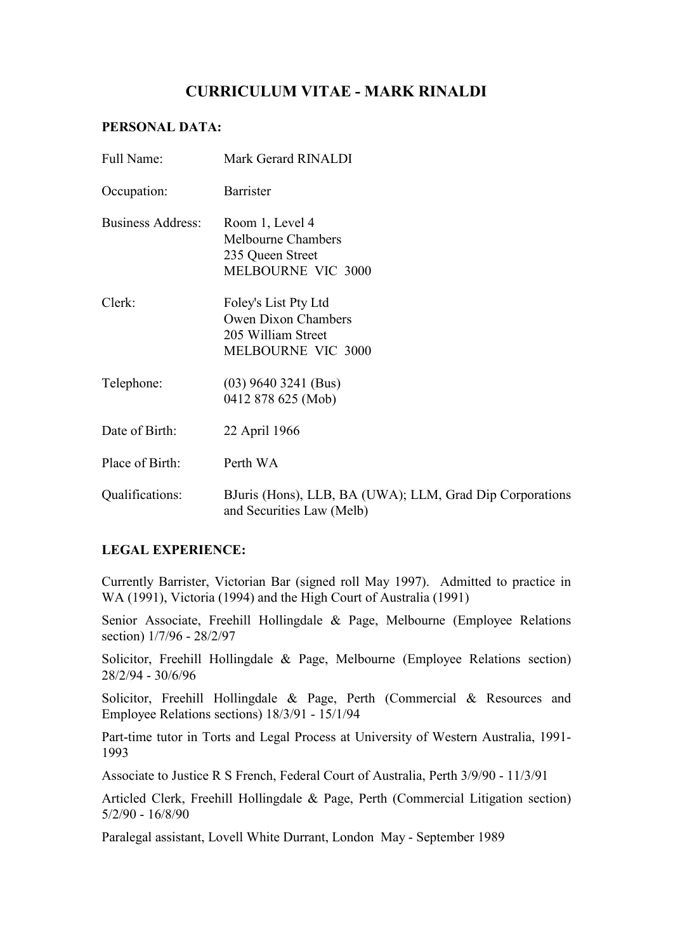# **CURRICULUM VITAE - MARK RINALDI**

### **PERSONAL DATA:**

| Full Name:               | Mark Gerard RINALDI                                                                     |
|--------------------------|-----------------------------------------------------------------------------------------|
| Occupation:              | <b>Barrister</b>                                                                        |
| <b>Business Address:</b> | Room 1, Level 4<br><b>Melbourne Chambers</b><br>235 Queen Street<br>MELBOURNE VIC 3000  |
| Clerk:                   | Foley's List Pty Ltd<br>Owen Dixon Chambers<br>205 William Street<br>MELBOURNE VIC 3000 |
| Telephone:               | $(03)$ 9640 3241 (Bus)<br>0412 878 625 (Mob)                                            |
| Date of Birth:           | 22 April 1966                                                                           |
| Place of Birth:          | Perth WA                                                                                |
| Qualifications:          | BJuris (Hons), LLB, BA (UWA); LLM, Grad Dip Corporations<br>and Securities Law (Melb)   |

## **LEGAL EXPERIENCE:**

Currently Barrister, Victorian Bar (signed roll May 1997). Admitted to practice in WA (1991), Victoria (1994) and the High Court of Australia (1991)

Senior Associate, Freehill Hollingdale & Page, Melbourne (Employee Relations section) 1/7/96 - 28/2/97

Solicitor, Freehill Hollingdale & Page, Melbourne (Employee Relations section) 28/2/94 - 30/6/96

Solicitor, Freehill Hollingdale & Page, Perth (Commercial & Resources and Employee Relations sections) 18/3/91 - 15/1/94

Part-time tutor in Torts and Legal Process at University of Western Australia, 1991- 1993

Associate to Justice R S French, Federal Court of Australia, Perth 3/9/90 - 11/3/91

Articled Clerk, Freehill Hollingdale & Page, Perth (Commercial Litigation section) 5/2/90 - 16/8/90

Paralegal assistant, Lovell White Durrant, London May - September 1989